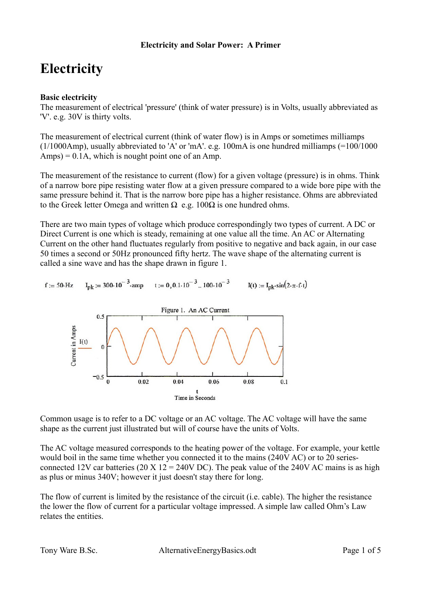# **Electricity**

# **Basic electricity**

The measurement of electrical 'pressure' (think of water pressure) is in Volts, usually abbreviated as 'V'. e.g. 30V is thirty volts.

The measurement of electrical current (think of water flow) is in Amps or sometimes milliamps (1/1000Amp), usually abbreviated to 'A' or 'mA'. e.g. 100mA is one hundred milliamps (=100/1000  $Amps$ ) = 0.1A, which is nought point one of an Amp.

The measurement of the resistance to current (flow) for a given voltage (pressure) is in ohms. Think of a narrow bore pipe resisting water flow at a given pressure compared to a wide bore pipe with the same pressure behind it. That is the narrow bore pipe has a higher resistance. Ohms are abbreviated to the Greek letter Omega and written  $\Omega$  e.g. 100 $\Omega$  is one hundred ohms.

There are two main types of voltage which produce correspondingly two types of current. A DC or Direct Current is one which is steady, remaining at one value all the time. An AC or Alternating Current on the other hand fluctuates regularly from positive to negative and back again, in our case 50 times a second or 50Hz pronounced fifty hertz. The wave shape of the alternating current is called a sine wave and has the shape drawn in figure 1.

 $I_{\text{pk}}$  = 300.10<sup>-3</sup> amp t = 0,0.1.10<sup>-3</sup> ..100.10<sup>-3</sup>  $I(t) := I_{nk} \cdot \sin(2 \cdot \pi \cdot f \cdot t)$  $f := 50$  Hz



Common usage is to refer to a DC voltage or an AC voltage. The AC voltage will have the same shape as the current just illustrated but will of course have the units of Volts.

The AC voltage measured corresponds to the heating power of the voltage. For example, your kettle would boil in the same time whether you connected it to the mains (240V AC) or to 20 seriesconnected 12V car batteries (20 X 12 = 240V DC). The peak value of the 240V AC mains is as high as plus or minus 340V; however it just doesn't stay there for long.

The flow of current is limited by the resistance of the circuit (i.e. cable). The higher the resistance the lower the flow of current for a particular voltage impressed. A simple law called Ohm's Law relates the entities.

Tony Ware B.Sc. AlternativeEnergyBasics.odt Page 1 of 5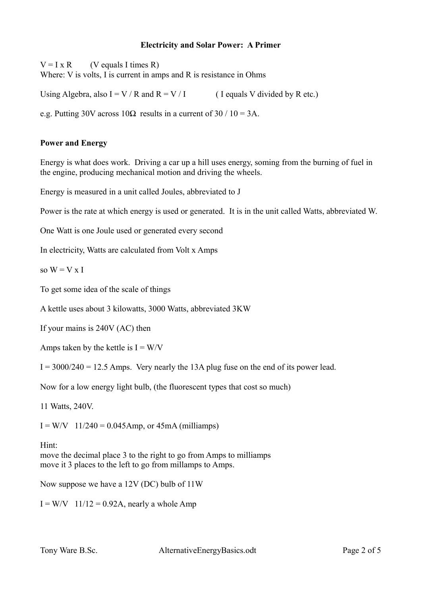# **Electricity and Solar Power: A Primer**

 $V = I \times R$  (V equals I times R)

Where: V is volts. I is current in amps and R is resistance in Ohms

Using Algebra, also  $I = V / R$  and  $R = V / I$  ( I equals V divided by R etc.)

e.g. Putting 30V across  $10\Omega$  results in a current of 30 / 10 = 3A.

# **Power and Energy**

Energy is what does work. Driving a car up a hill uses energy, soming from the burning of fuel in the engine, producing mechanical motion and driving the wheels.

Energy is measured in a unit called Joules, abbreviated to J

Power is the rate at which energy is used or generated. It is in the unit called Watts, abbreviated W.

One Watt is one Joule used or generated every second

In electricity, Watts are calculated from Volt x Amps

so  $W = V x I$ 

To get some idea of the scale of things

A kettle uses about 3 kilowatts, 3000 Watts, abbreviated 3KW

If your mains is 240V (AC) then

Amps taken by the kettle is  $I = W/V$ 

 $I = 3000/240 = 12.5$  Amps. Very nearly the 13A plug fuse on the end of its power lead.

Now for a low energy light bulb, (the fluorescent types that cost so much)

11 Watts, 240V.

 $I = W/V$  11/240 = 0.045Amp, or 45mA (milliamps)

Hint:

move the decimal place 3 to the right to go from Amps to milliamps move it 3 places to the left to go from millamps to Amps.

Now suppose we have a 12V (DC) bulb of 11W

 $I = W/V$  11/12 = 0.92A, nearly a whole Amp

Tony Ware B.Sc. AlternativeEnergyBasics.odt Page 2 of 5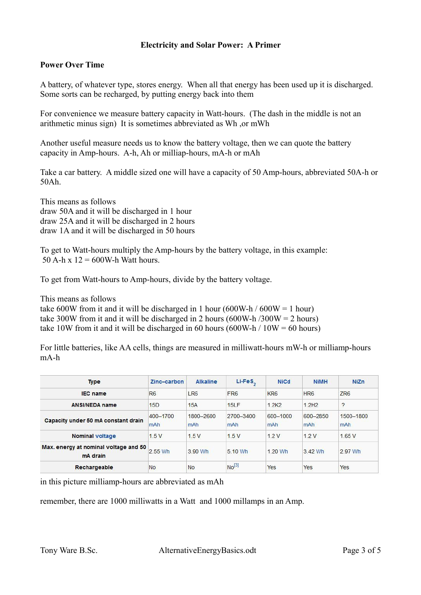# **Electricity and Solar Power: A Primer**

## **Power Over Time**

A battery, of whatever type, stores energy. When all that energy has been used up it is discharged. Some sorts can be recharged, by putting energy back into them

For convenience we measure battery capacity in Watt-hours. (The dash in the middle is not an arithmetic minus sign) It is sometimes abbreviated as Wh ,or mWh

Another useful measure needs us to know the battery voltage, then we can quote the battery capacity in Amp-hours. A-h, Ah or milliap-hours, mA-h or mAh

Take a car battery. A middle sized one will have a capacity of 50 Amp-hours, abbreviated 50A-h or 50Ah.

This means as follows draw 50A and it will be discharged in 1 hour draw 25A and it will be discharged in 2 hours draw 1A and it will be discharged in 50 hours

To get to Watt-hours multiply the Amp-hours by the battery voltage, in this example: 50 A-h x  $12 = 600$ W-h Watt hours.

To get from Watt-hours to Amp-hours, divide by the battery voltage.

This means as follows

take 600W from it and it will be discharged in 1 hour (600W-h / 600W = 1 hour) take 300W from it and it will be discharged in 2 hours (600W-h/300W = 2 hours) take 10W from it and it will be discharged in 60 hours (600W-h  $/ 10W = 60$  hours)

For little batteries, like AA cells, things are measured in milliwatt-hours mW-h or milliamp-hours mA-h

| <b>Type</b>                                       | Zinc-carbon     | <b>Alkaline</b>  | $Li-FeS2$         | <b>NiCd</b>     | <b>NiMH</b>                 | <b>NiZn</b>      |
|---------------------------------------------------|-----------------|------------------|-------------------|-----------------|-----------------------------|------------------|
| <b>IEC</b> name                                   | R <sub>6</sub>  | LR <sub>6</sub>  | FR <sub>6</sub>   | KR <sub>6</sub> | HR <sub>6</sub>             | ZR <sub>6</sub>  |
| <b>ANSI/NEDA name</b>                             | 15D             | 15A              | 15LF              | 1.2K2           | 1.2H <sub>2</sub>           | ?                |
| Capacity under 50 mA constant drain               | 400-1700<br>mAh | 1800-2600<br>mAh | 2700-3400<br>mAh  | 600-1000<br>mAh | 600-2850<br>m <sub>Ah</sub> | 1500-1800<br>mAh |
| <b>Nominal voltage</b>                            | 1.5V            | 1.5V             | 1.5V              | 12V             | 1.2V                        | 1.65V            |
| Max. energy at nominal voltage and 50<br>mA drain | 2.55 Wh         | 3.90 Wh          | 5 10 Wh           | 1.20 Wh         | 3.42 Wh                     | 2.97 Wh          |
| Rechargeable                                      | <b>No</b>       | <b>No</b>        | No <sup>[3]</sup> | Yes             | Yes                         | Yes              |

in this picture milliamp-hours are abbreviated as mAh

remember, there are 1000 milliwatts in a Watt and 1000 millamps in an Amp.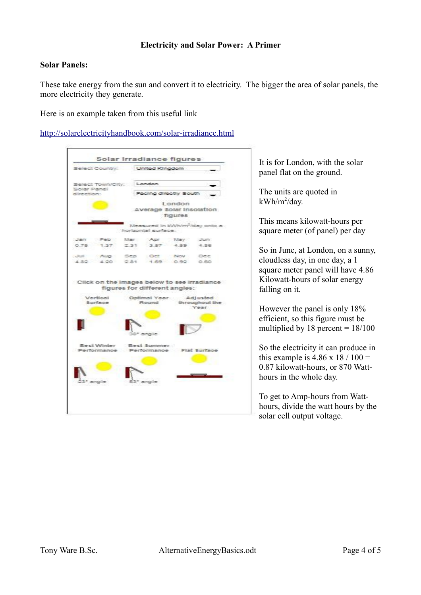## **Solar Panels:**

These take energy from the sun and convert it to electricity. The bigger the area of solar panels, the more electricity they generate.

Here is an example taken from this useful link

<http://solarelectricityhandbook.com/solar-irradiance.html>

| Select Country: United Kingdom                                     |               |                                                                   |         |                |
|--------------------------------------------------------------------|---------------|-------------------------------------------------------------------|---------|----------------|
| Select Town/City: London                                           |               |                                                                   |         |                |
| Solar Panel<br>direction:                                          |               | Facing directly South                                             |         |                |
|                                                                    |               | Average Solar Insolation                                          | London  |                |
|                                                                    |               |                                                                   | figures |                |
|                                                                    |               | Measured in KWh/m <sup>2</sup> /day onto a<br>horizontal surface: |         |                |
| Jan Feb                                                            | Mar -         | Apr May                                                           |         | <b>STORY</b>   |
| 0.75<br>1.37                                                       | 231           | $-3.57$                                                           | 4.59    | 4.36           |
| July Aug.                                                          | Sep.          | Det Nov                                                           |         | <b>DATE</b>    |
| 4.82                                                               | $4.20$ $2.81$ | 1.69 0.92                                                         |         | 0.60           |
|                                                                    |               | figures for different angles:                                     |         |                |
| Click on the Images below to see Irradiance<br>Vertical<br>Burtsce |               | Optimal Year Adjusted<br>Round                                    |         | throughout the |
|                                                                    |               |                                                                   |         | Year.          |
|                                                                    |               | 2001                                                              |         |                |
| Best Winter<br>Performance                                         |               | Best Summer.<br>Performance Flat Surface                          |         |                |
|                                                                    |               |                                                                   |         |                |
| <b>SURVEY</b>                                                      |               |                                                                   |         |                |

It is for London, with the solar panel flat on the ground.

The units are quoted in kWh/m<sup>2</sup>/day.

This means kilowatt-hours per square meter (of panel) per day

So in June, at London, on a sunny, cloudless day, in one day, a 1 square meter panel will have 4.86 Kilowatt-hours of solar energy falling on it.

However the panel is only 18% efficient, so this figure must be multiplied by  $18$  percent =  $18/100$ 

So the electricity it can produce in this example is  $4.86 \times 18 / 100 =$ 0.87 kilowatt-hours, or 870 Watthours in the whole day.

To get to Amp-hours from Watthours, divide the watt hours by the solar cell output voltage.